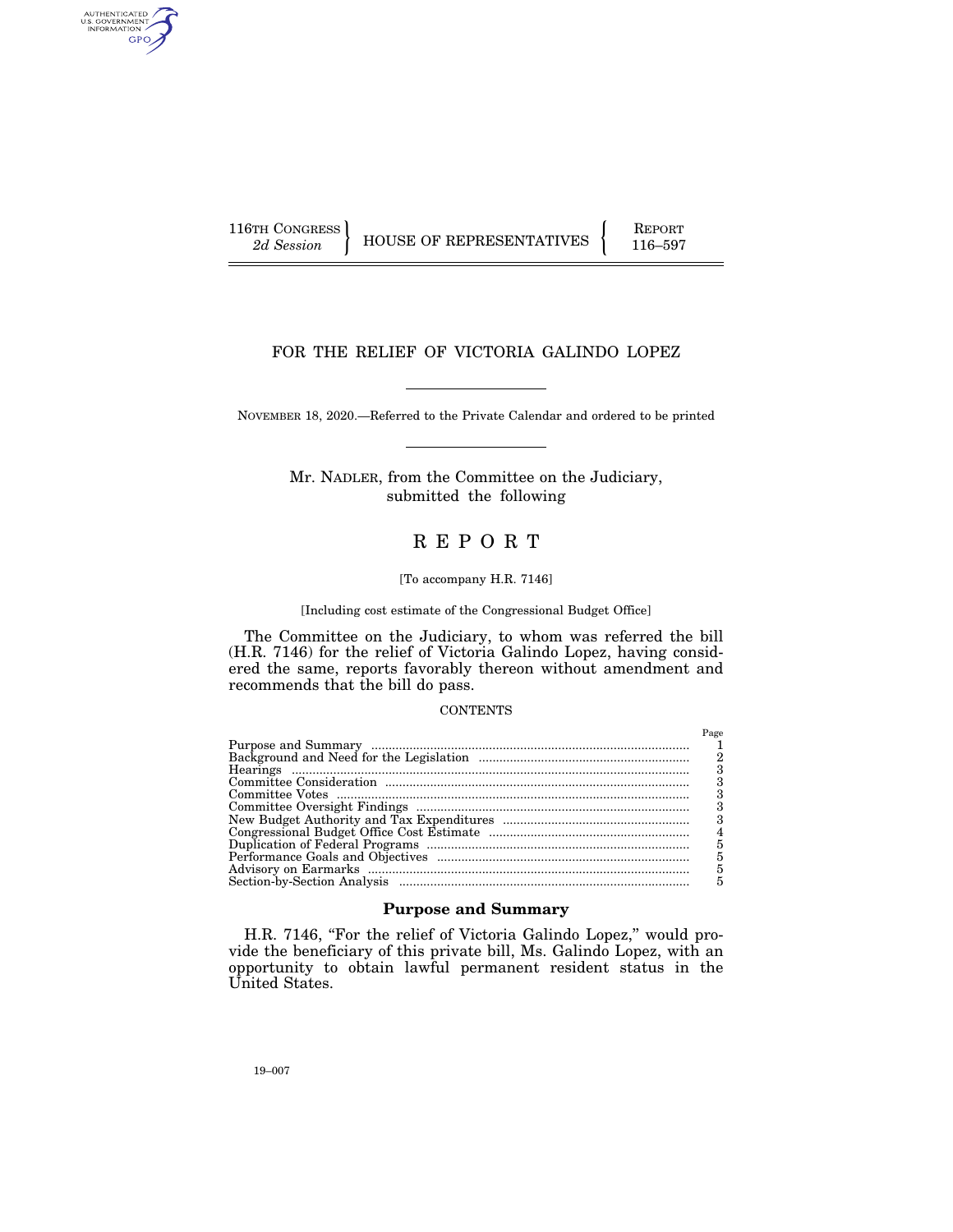AUTHENTICATED<br>U.S. GOVERNMENT<br>INFORMATION GPO

116TH CONGRESS HOUSE OF REPRESENTATIVES FEPORT 116–597

# FOR THE RELIEF OF VICTORIA GALINDO LOPEZ

NOVEMBER 18, 2020.—Referred to the Private Calendar and ordered to be printed

Mr. NADLER, from the Committee on the Judiciary, submitted the following

# R E P O R T

#### [To accompany H.R. 7146]

#### [Including cost estimate of the Congressional Budget Office]

The Committee on the Judiciary, to whom was referred the bill (H.R. 7146) for the relief of Victoria Galindo Lopez, having considered the same, reports favorably thereon without amendment and recommends that the bill do pass.

## **CONTENTS**

| Page |
|------|
|      |
| 2    |
| з    |
|      |
|      |
|      |
| 3    |
| 4    |
| 5    |
| 5    |
| 5    |
|      |

## **Purpose and Summary**

H.R. 7146, "For the relief of Victoria Galindo Lopez," would provide the beneficiary of this private bill, Ms. Galindo Lopez, with an opportunity to obtain lawful permanent resident status in the United States.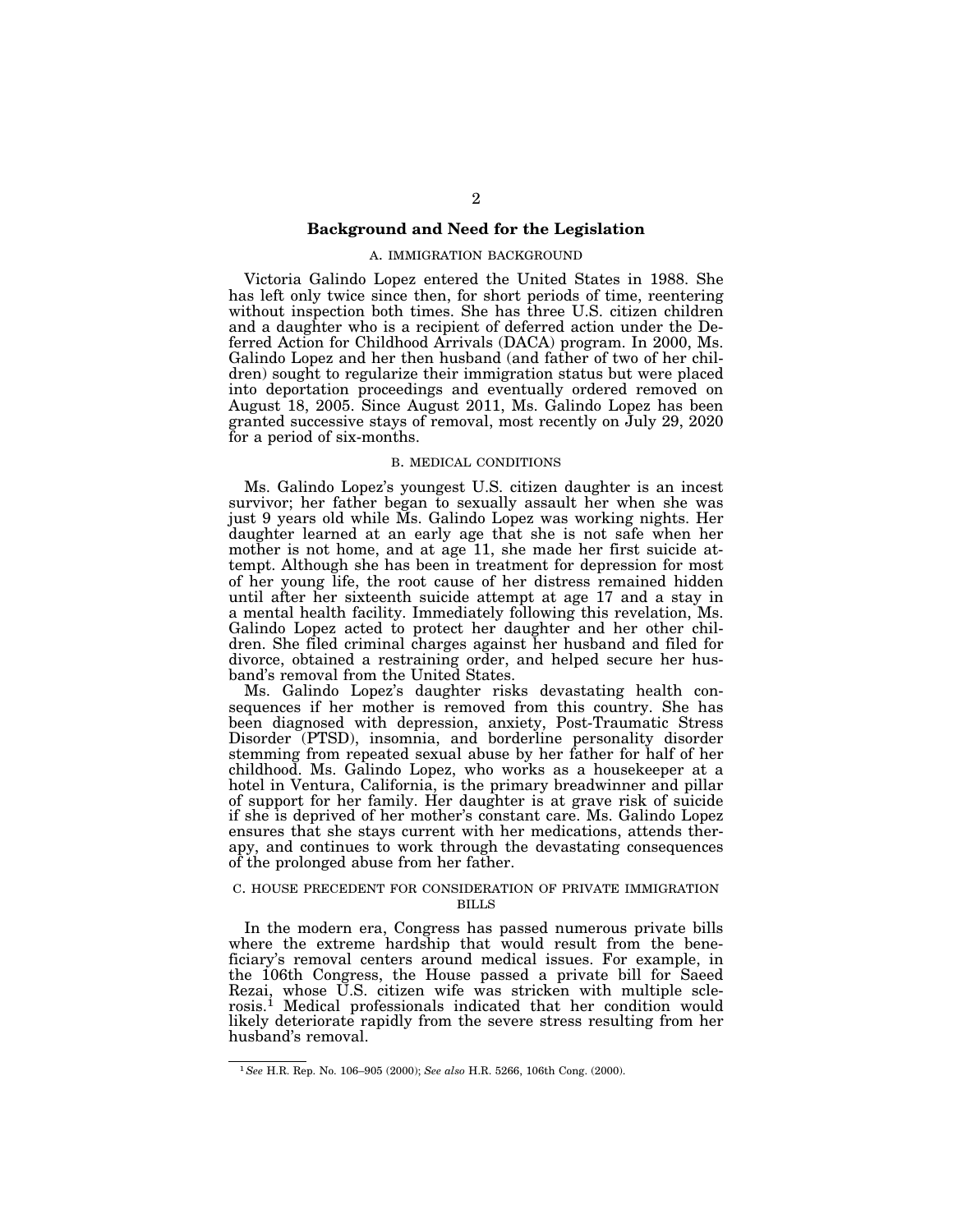#### **Background and Need for the Legislation**

#### A. IMMIGRATION BACKGROUND

Victoria Galindo Lopez entered the United States in 1988. She has left only twice since then, for short periods of time, reentering without inspection both times. She has three U.S. citizen children and a daughter who is a recipient of deferred action under the Deferred Action for Childhood Arrivals (DACA) program. In 2000, Ms. Galindo Lopez and her then husband (and father of two of her children) sought to regularize their immigration status but were placed into deportation proceedings and eventually ordered removed on August 18, 2005. Since August 2011, Ms. Galindo Lopez has been granted successive stays of removal, most recently on July 29, 2020 for a period of six-months.

## B. MEDICAL CONDITIONS

Ms. Galindo Lopez's youngest U.S. citizen daughter is an incest survivor; her father began to sexually assault her when she was just 9 years old while Ms. Galindo Lopez was working nights. Her daughter learned at an early age that she is not safe when her mother is not home, and at age 11, she made her first suicide attempt. Although she has been in treatment for depression for most of her young life, the root cause of her distress remained hidden until after her sixteenth suicide attempt at age 17 and a stay in a mental health facility. Immediately following this revelation, Ms. Galindo Lopez acted to protect her daughter and her other children. She filed criminal charges against her husband and filed for divorce, obtained a restraining order, and helped secure her husband's removal from the United States.

Ms. Galindo Lopez's daughter risks devastating health consequences if her mother is removed from this country. She has been diagnosed with depression, anxiety, Post-Traumatic Stress Disorder (PTSD), insomnia, and borderline personality disorder stemming from repeated sexual abuse by her father for half of her childhood. Ms. Galindo Lopez, who works as a housekeeper at a hotel in Ventura, California, is the primary breadwinner and pillar of support for her family. Her daughter is at grave risk of suicide if she is deprived of her mother's constant care. Ms. Galindo Lopez ensures that she stays current with her medications, attends therapy, and continues to work through the devastating consequences of the prolonged abuse from her father.

#### C. HOUSE PRECEDENT FOR CONSIDERATION OF PRIVATE IMMIGRATION BILLS

In the modern era, Congress has passed numerous private bills where the extreme hardship that would result from the beneficiary's removal centers around medical issues. For example, in the 106th Congress, the House passed a private bill for Saeed Rezai, whose U.S. citizen wife was stricken with multiple sclerosis.1 Medical professionals indicated that her condition would likely deteriorate rapidly from the severe stress resulting from her husband's removal.

<sup>1</sup>*See* H.R. Rep. No. 106–905 (2000); *See also* H.R. 5266, 106th Cong. (2000).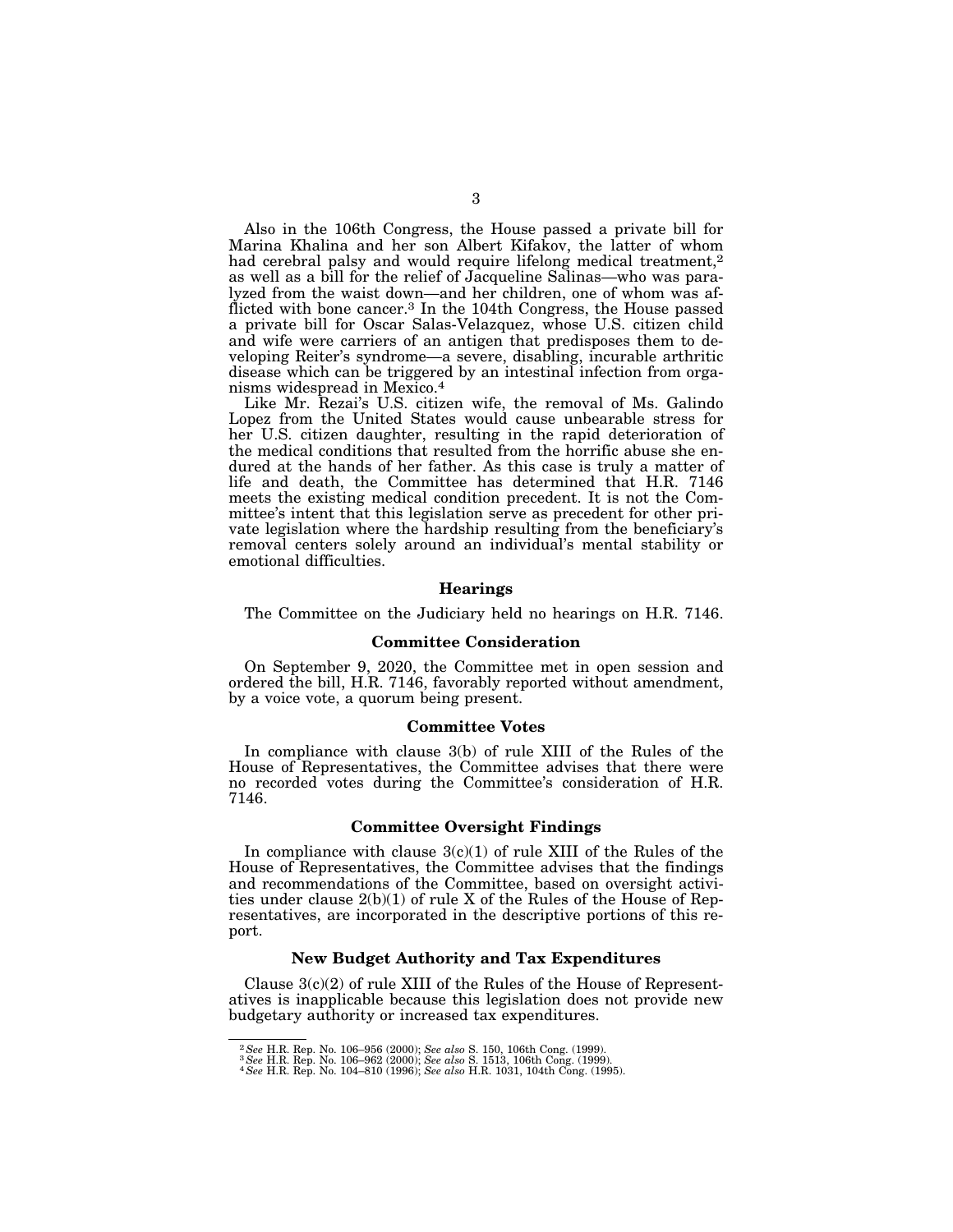Also in the 106th Congress, the House passed a private bill for Marina Khalina and her son Albert Kifakov, the latter of whom had cerebral palsy and would require lifelong medical treatment,<sup>2</sup> as well as a bill for the relief of Jacqueline Salinas—who was paralyzed from the waist down—and her children, one of whom was afflicted with bone cancer.<sup>3</sup> In the 104th Congress, the House passed a private bill for Oscar Salas-Velazquez, whose U.S. citizen child and wife were carriers of an antigen that predisposes them to developing Reiter's syndrome—a severe, disabling, incurable arthritic disease which can be triggered by an intestinal infection from organisms widespread in Mexico.4

Like Mr. Rezai's U.S. citizen wife, the removal of Ms. Galindo Lopez from the United States would cause unbearable stress for her U.S. citizen daughter, resulting in the rapid deterioration of the medical conditions that resulted from the horrific abuse she endured at the hands of her father. As this case is truly a matter of life and death, the Committee has determined that H.R. 7146 meets the existing medical condition precedent. It is not the Committee's intent that this legislation serve as precedent for other private legislation where the hardship resulting from the beneficiary's removal centers solely around an individual's mental stability or emotional difficulties.

#### **Hearings**

The Committee on the Judiciary held no hearings on H.R. 7146.

#### **Committee Consideration**

On September 9, 2020, the Committee met in open session and ordered the bill, H.R. 7146, favorably reported without amendment, by a voice vote, a quorum being present.

## **Committee Votes**

In compliance with clause 3(b) of rule XIII of the Rules of the House of Representatives, the Committee advises that there were no recorded votes during the Committee's consideration of H.R. 7146.

## **Committee Oversight Findings**

In compliance with clause  $3(c)(1)$  of rule XIII of the Rules of the House of Representatives, the Committee advises that the findings and recommendations of the Committee, based on oversight activities under clause 2(b)(1) of rule X of the Rules of the House of Representatives, are incorporated in the descriptive portions of this report.

## **New Budget Authority and Tax Expenditures**

Clause  $3(c)(2)$  of rule XIII of the Rules of the House of Representatives is inapplicable because this legislation does not provide new budgetary authority or increased tax expenditures.

 $^2\,See$  H.R. Rep. No. 106–956 (2000); See also S. 150, 106th Cong. (1999).  $^3\,See$  H.R. Rep. No. 106–962 (2000); See also S. 1513, 106th Cong. (1999).  $^4\,See$  H.R. Rep. No. 104–810 (1996); See also H.R. 1031, 104th Cong.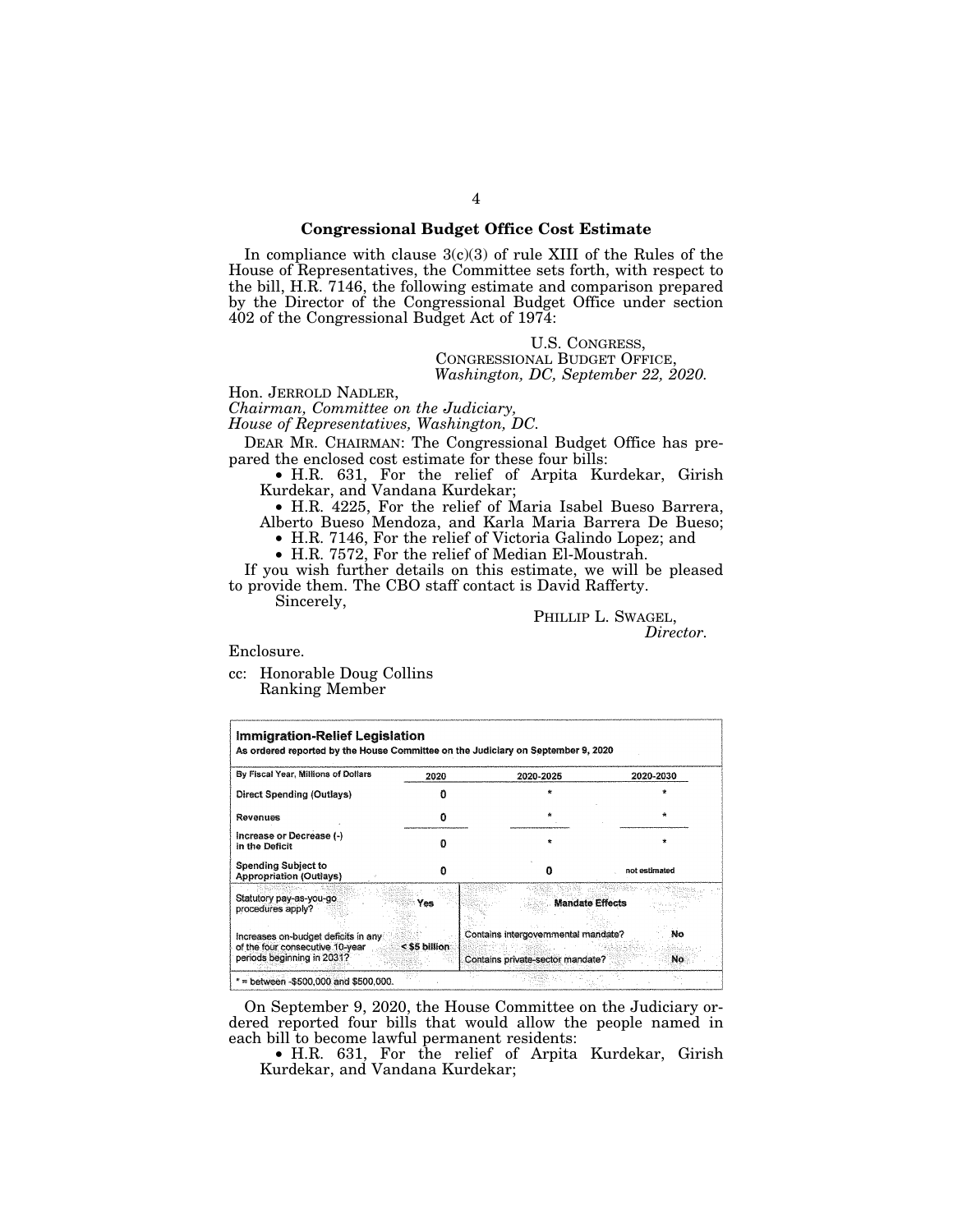## **Congressional Budget Office Cost Estimate**

In compliance with clause  $3(c)(3)$  of rule XIII of the Rules of the House of Representatives, the Committee sets forth, with respect to the bill, H.R. 7146, the following estimate and comparison prepared by the Director of the Congressional Budget Office under section 402 of the Congressional Budget Act of 1974:

> U.S. CONGRESS, CONGRESSIONAL BUDGET OFFICE, *Washington, DC, September 22, 2020.*

Hon. JERROLD NADLER, *Chairman, Committee on the Judiciary,* 

*House of Representatives, Washington, DC.* 

DEAR MR. CHAIRMAN: The Congressional Budget Office has prepared the enclosed cost estimate for these four bills:

• H.R. 631, For the relief of Arpita Kurdekar, Girish Kurdekar, and Vandana Kurdekar;

• H.R. 4225, For the relief of Maria Isabel Bueso Barrera, Alberto Bueso Mendoza, and Karla Maria Barrera De Bueso; • H.R. 7146, For the relief of Victoria Galindo Lopez; and

• H.R. 7572, For the relief of Median El-Moustrah.

If you wish further details on this estimate, we will be pleased to provide them. The CBO staff contact is David Rafferty. Sincerely,

> PHILLIP L. SWAGEL, *Director.*

Enclosure.

cc: Honorable Doug Collins Ranking Member

| By Fiscal Year, Millions of Dollars                                                                  | 2020          | 2020-2025                                                               | 2020-2030     |
|------------------------------------------------------------------------------------------------------|---------------|-------------------------------------------------------------------------|---------------|
| Direct Spending (Outlays)                                                                            |               |                                                                         |               |
| Revenues                                                                                             |               |                                                                         |               |
| Increase or Decrease (-)<br>in the Deficit                                                           |               |                                                                         |               |
| <b>Spending Subject to</b><br><b>Appropriation (Outlays)</b>                                         |               | o                                                                       | not estimated |
| Statutory pay-as-you-go<br>procedures apply?                                                         | Yes           | <b>Mandate Effects</b>                                                  |               |
| Increases on-budget deficits in any<br>of the four consecutive 10-year<br>periods beginning in 2031? | < \$5 billion | Contains intergovernmental mandate?<br>Contains private-sector mandate? | No<br>No.     |

On September 9, 2020, the House Committee on the Judiciary ordered reported four bills that would allow the people named in each bill to become lawful permanent residents:

• H.R. 631, For the relief of Arpita Kurdekar, Girish Kurdekar, and Vandana Kurdekar;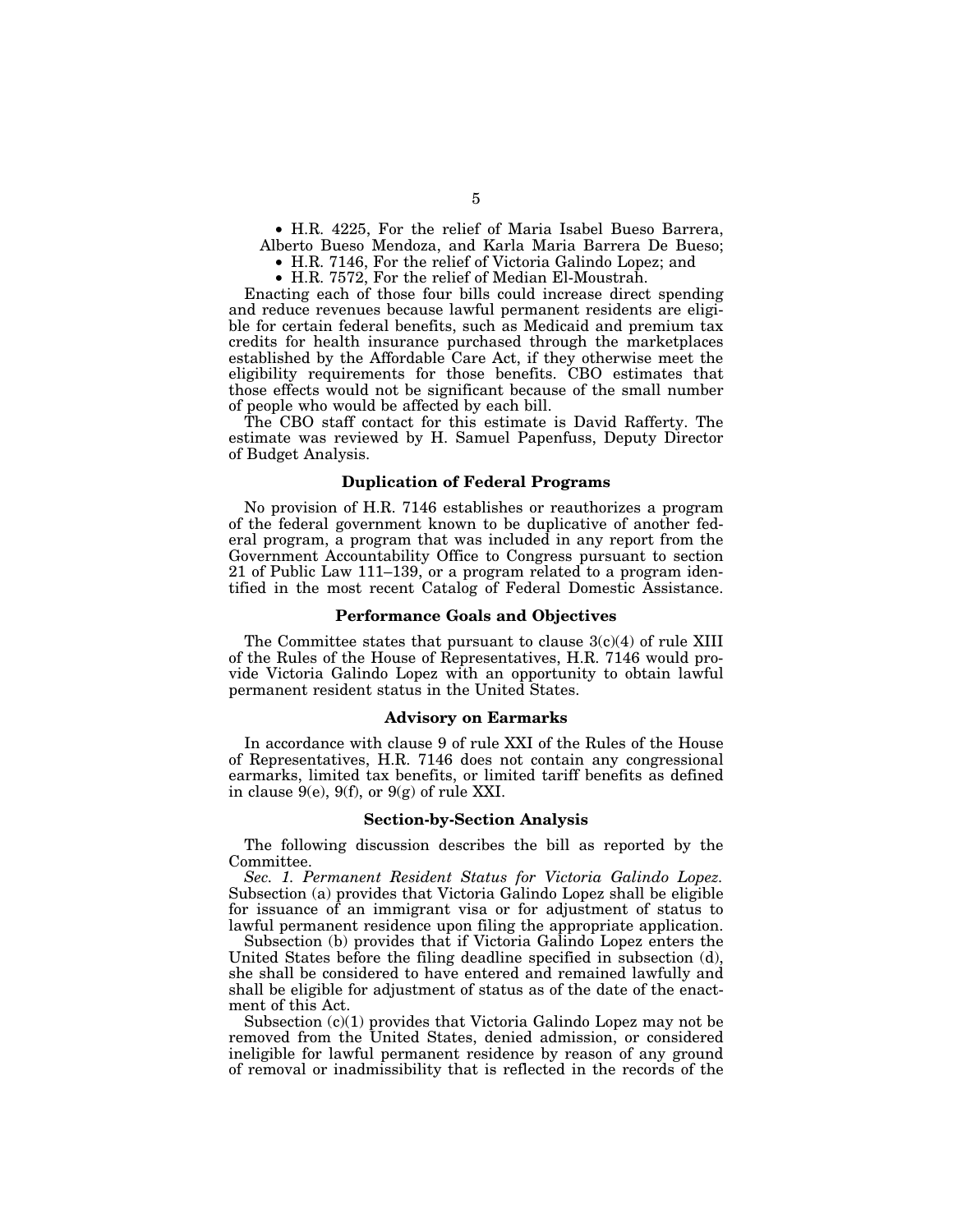• H.R. 4225, For the relief of Maria Isabel Bueso Barrera, Alberto Bueso Mendoza, and Karla Maria Barrera De Bueso;

• H.R. 7146, For the relief of Victoria Galindo Lopez; and

• H.R. 7572, For the relief of Median El-Moustrah.

Enacting each of those four bills could increase direct spending and reduce revenues because lawful permanent residents are eligible for certain federal benefits, such as Medicaid and premium tax credits for health insurance purchased through the marketplaces established by the Affordable Care Act, if they otherwise meet the eligibility requirements for those benefits. CBO estimates that those effects would not be significant because of the small number of people who would be affected by each bill.

The CBO staff contact for this estimate is David Rafferty. The estimate was reviewed by H. Samuel Papenfuss, Deputy Director of Budget Analysis.

## **Duplication of Federal Programs**

No provision of H.R. 7146 establishes or reauthorizes a program of the federal government known to be duplicative of another federal program, a program that was included in any report from the Government Accountability Office to Congress pursuant to section 21 of Public Law 111–139, or a program related to a program identified in the most recent Catalog of Federal Domestic Assistance.

#### **Performance Goals and Objectives**

The Committee states that pursuant to clause  $3(c)(4)$  of rule XIII of the Rules of the House of Representatives, H.R. 7146 would provide Victoria Galindo Lopez with an opportunity to obtain lawful permanent resident status in the United States.

#### **Advisory on Earmarks**

In accordance with clause 9 of rule XXI of the Rules of the House of Representatives, H.R. 7146 does not contain any congressional earmarks, limited tax benefits, or limited tariff benefits as defined in clause  $9(e)$ ,  $9(f)$ , or  $9(g)$  of rule XXI.

#### **Section-by-Section Analysis**

The following discussion describes the bill as reported by the Committee.

*Sec. 1. Permanent Resident Status for Victoria Galindo Lopez.*  Subsection (a) provides that Victoria Galindo Lopez shall be eligible for issuance of an immigrant visa or for adjustment of status to lawful permanent residence upon filing the appropriate application.

Subsection (b) provides that if Victoria Galindo Lopez enters the United States before the filing deadline specified in subsection (d), she shall be considered to have entered and remained lawfully and shall be eligible for adjustment of status as of the date of the enactment of this Act.

Subsection  $(c)(1)$  provides that Victoria Galindo Lopez may not be removed from the United States, denied admission, or considered ineligible for lawful permanent residence by reason of any ground of removal or inadmissibility that is reflected in the records of the